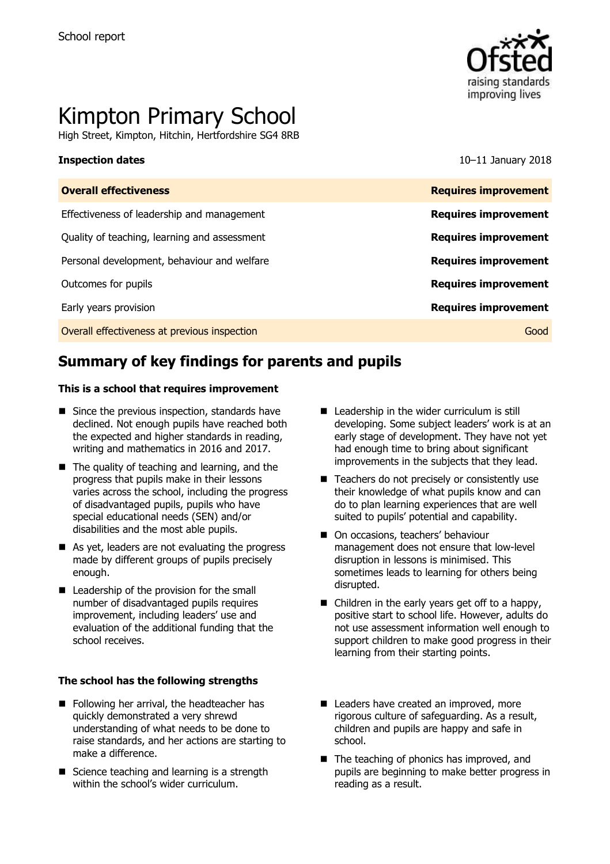

# Kimpton Primary School

High Street, Kimpton, Hitchin, Hertfordshire SG4 8RB

**Inspection dates** 10–11 January 2018

| <b>Overall effectiveness</b>                 | <b>Requires improvement</b> |
|----------------------------------------------|-----------------------------|
| Effectiveness of leadership and management   | <b>Requires improvement</b> |
| Quality of teaching, learning and assessment | <b>Requires improvement</b> |
| Personal development, behaviour and welfare  | <b>Requires improvement</b> |
| Outcomes for pupils                          | <b>Requires improvement</b> |
| Early years provision                        | <b>Requires improvement</b> |
| Overall effectiveness at previous inspection | Good                        |
|                                              |                             |

# **Summary of key findings for parents and pupils**

#### **This is a school that requires improvement**

- $\blacksquare$  Since the previous inspection, standards have declined. Not enough pupils have reached both the expected and higher standards in reading, writing and mathematics in 2016 and 2017.
- $\blacksquare$  The quality of teaching and learning, and the progress that pupils make in their lessons varies across the school, including the progress of disadvantaged pupils, pupils who have special educational needs (SEN) and/or disabilities and the most able pupils.
- As yet, leaders are not evaluating the progress made by different groups of pupils precisely enough.
- Leadership of the provision for the small number of disadvantaged pupils requires improvement, including leaders' use and evaluation of the additional funding that the school receives.

#### **The school has the following strengths**

- Following her arrival, the headteacher has quickly demonstrated a very shrewd understanding of what needs to be done to raise standards, and her actions are starting to make a difference.
- Science teaching and learning is a strength within the school's wider curriculum.
- Leadership in the wider curriculum is still developing. Some subject leaders' work is at an early stage of development. They have not yet had enough time to bring about significant improvements in the subjects that they lead.
- Teachers do not precisely or consistently use their knowledge of what pupils know and can do to plan learning experiences that are well suited to pupils' potential and capability.
- On occasions, teachers' behaviour management does not ensure that low-level disruption in lessons is minimised. This sometimes leads to learning for others being disrupted.
- Children in the early years get off to a happy, positive start to school life. However, adults do not use assessment information well enough to support children to make good progress in their learning from their starting points.
- Leaders have created an improved, more rigorous culture of safeguarding. As a result, children and pupils are happy and safe in school.
- The teaching of phonics has improved, and pupils are beginning to make better progress in reading as a result.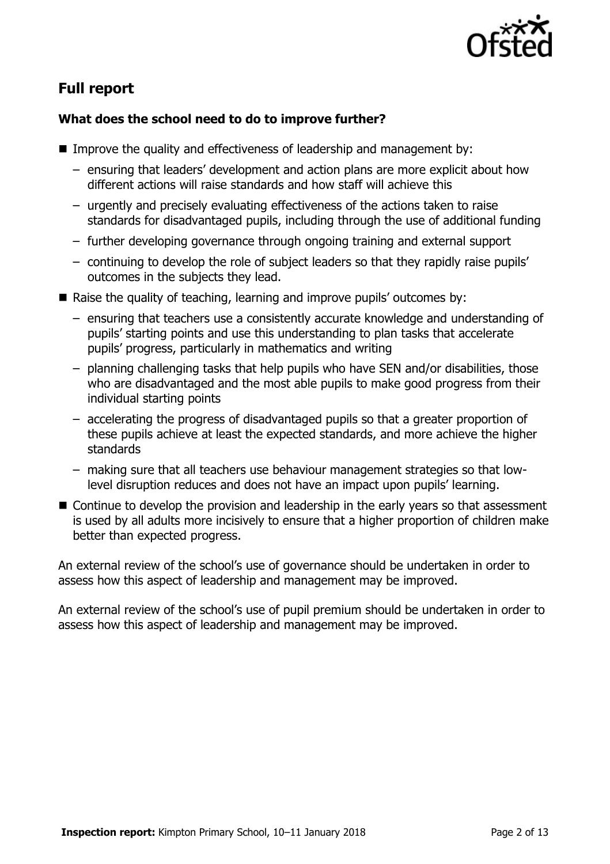

# **Full report**

### **What does the school need to do to improve further?**

- Improve the quality and effectiveness of leadership and management by:
	- ensuring that leaders' development and action plans are more explicit about how different actions will raise standards and how staff will achieve this
	- urgently and precisely evaluating effectiveness of the actions taken to raise standards for disadvantaged pupils, including through the use of additional funding
	- further developing governance through ongoing training and external support
	- continuing to develop the role of subject leaders so that they rapidly raise pupils' outcomes in the subjects they lead.
- Raise the quality of teaching, learning and improve pupils' outcomes by:
	- ensuring that teachers use a consistently accurate knowledge and understanding of pupils' starting points and use this understanding to plan tasks that accelerate pupils' progress, particularly in mathematics and writing
	- planning challenging tasks that help pupils who have SEN and/or disabilities, those who are disadvantaged and the most able pupils to make good progress from their individual starting points
	- accelerating the progress of disadvantaged pupils so that a greater proportion of these pupils achieve at least the expected standards, and more achieve the higher standards
	- making sure that all teachers use behaviour management strategies so that lowlevel disruption reduces and does not have an impact upon pupils' learning.
- Continue to develop the provision and leadership in the early years so that assessment is used by all adults more incisively to ensure that a higher proportion of children make better than expected progress.

An external review of the school's use of governance should be undertaken in order to assess how this aspect of leadership and management may be improved.

An external review of the school's use of pupil premium should be undertaken in order to assess how this aspect of leadership and management may be improved.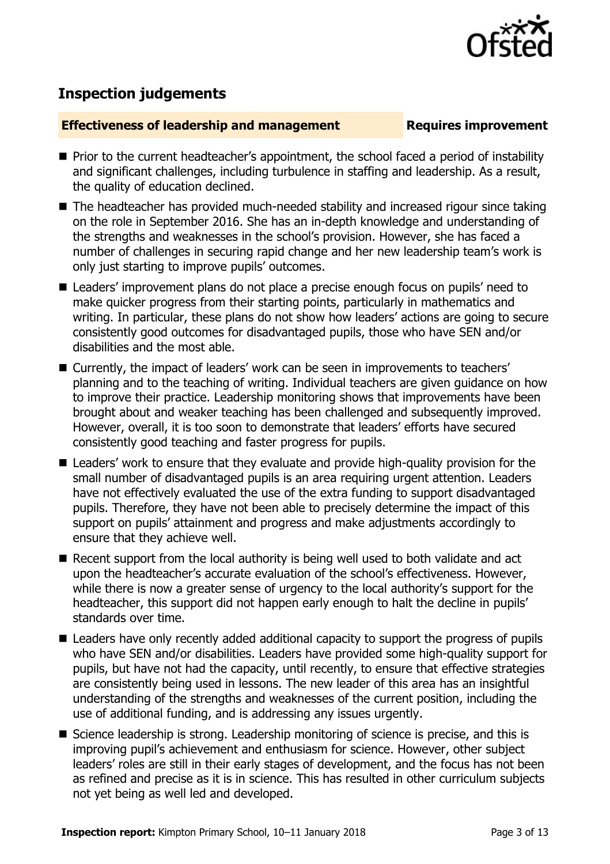

## **Inspection judgements**

#### **Effectiveness of leadership and management Requires improvement**

- **Prior to the current headteacher's appointment, the school faced a period of instability** and significant challenges, including turbulence in staffing and leadership. As a result, the quality of education declined.
- The headteacher has provided much-needed stability and increased rigour since taking on the role in September 2016. She has an in-depth knowledge and understanding of the strengths and weaknesses in the school's provision. However, she has faced a number of challenges in securing rapid change and her new leadership team's work is only just starting to improve pupils' outcomes.
- Leaders' improvement plans do not place a precise enough focus on pupils' need to make quicker progress from their starting points, particularly in mathematics and writing. In particular, these plans do not show how leaders' actions are going to secure consistently good outcomes for disadvantaged pupils, those who have SEN and/or disabilities and the most able.
- Currently, the impact of leaders' work can be seen in improvements to teachers' planning and to the teaching of writing. Individual teachers are given guidance on how to improve their practice. Leadership monitoring shows that improvements have been brought about and weaker teaching has been challenged and subsequently improved. However, overall, it is too soon to demonstrate that leaders' efforts have secured consistently good teaching and faster progress for pupils.
- Leaders' work to ensure that they evaluate and provide high-quality provision for the small number of disadvantaged pupils is an area requiring urgent attention. Leaders have not effectively evaluated the use of the extra funding to support disadvantaged pupils. Therefore, they have not been able to precisely determine the impact of this support on pupils' attainment and progress and make adjustments accordingly to ensure that they achieve well.
- Recent support from the local authority is being well used to both validate and act upon the headteacher's accurate evaluation of the school's effectiveness. However, while there is now a greater sense of urgency to the local authority's support for the headteacher, this support did not happen early enough to halt the decline in pupils' standards over time.
- Leaders have only recently added additional capacity to support the progress of pupils who have SEN and/or disabilities. Leaders have provided some high-quality support for pupils, but have not had the capacity, until recently, to ensure that effective strategies are consistently being used in lessons. The new leader of this area has an insightful understanding of the strengths and weaknesses of the current position, including the use of additional funding, and is addressing any issues urgently.
- Science leadership is strong. Leadership monitoring of science is precise, and this is improving pupil's achievement and enthusiasm for science. However, other subject leaders' roles are still in their early stages of development, and the focus has not been as refined and precise as it is in science. This has resulted in other curriculum subjects not yet being as well led and developed.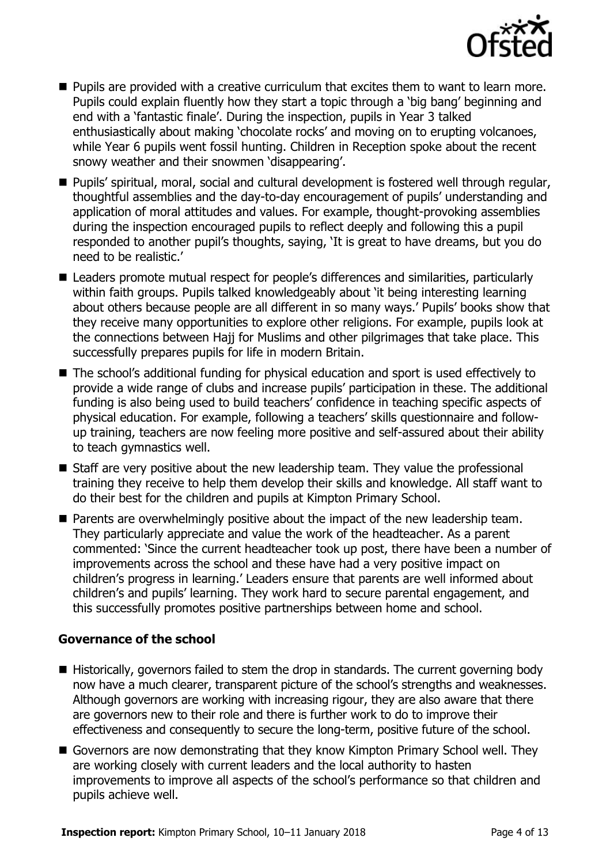

- **Pupils are provided with a creative curriculum that excites them to want to learn more.** Pupils could explain fluently how they start a topic through a 'big bang' beginning and end with a 'fantastic finale'. During the inspection, pupils in Year 3 talked enthusiastically about making 'chocolate rocks' and moving on to erupting volcanoes, while Year 6 pupils went fossil hunting. Children in Reception spoke about the recent snowy weather and their snowmen 'disappearing'.
- Pupils' spiritual, moral, social and cultural development is fostered well through regular, thoughtful assemblies and the day-to-day encouragement of pupils' understanding and application of moral attitudes and values. For example, thought-provoking assemblies during the inspection encouraged pupils to reflect deeply and following this a pupil responded to another pupil's thoughts, saying, 'It is great to have dreams, but you do need to be realistic.'
- Leaders promote mutual respect for people's differences and similarities, particularly within faith groups. Pupils talked knowledgeably about 'it being interesting learning about others because people are all different in so many ways.' Pupils' books show that they receive many opportunities to explore other religions. For example, pupils look at the connections between Hajj for Muslims and other pilgrimages that take place. This successfully prepares pupils for life in modern Britain.
- The school's additional funding for physical education and sport is used effectively to provide a wide range of clubs and increase pupils' participation in these. The additional funding is also being used to build teachers' confidence in teaching specific aspects of physical education. For example, following a teachers' skills questionnaire and followup training, teachers are now feeling more positive and self-assured about their ability to teach gymnastics well.
- Staff are very positive about the new leadership team. They value the professional training they receive to help them develop their skills and knowledge. All staff want to do their best for the children and pupils at Kimpton Primary School.
- **Parents are overwhelmingly positive about the impact of the new leadership team.** They particularly appreciate and value the work of the headteacher. As a parent commented: 'Since the current headteacher took up post, there have been a number of improvements across the school and these have had a very positive impact on children's progress in learning.' Leaders ensure that parents are well informed about children's and pupils' learning. They work hard to secure parental engagement, and this successfully promotes positive partnerships between home and school.

### **Governance of the school**

- Historically, governors failed to stem the drop in standards. The current governing body now have a much clearer, transparent picture of the school's strengths and weaknesses. Although governors are working with increasing rigour, they are also aware that there are governors new to their role and there is further work to do to improve their effectiveness and consequently to secure the long-term, positive future of the school.
- Governors are now demonstrating that they know Kimpton Primary School well. They are working closely with current leaders and the local authority to hasten improvements to improve all aspects of the school's performance so that children and pupils achieve well.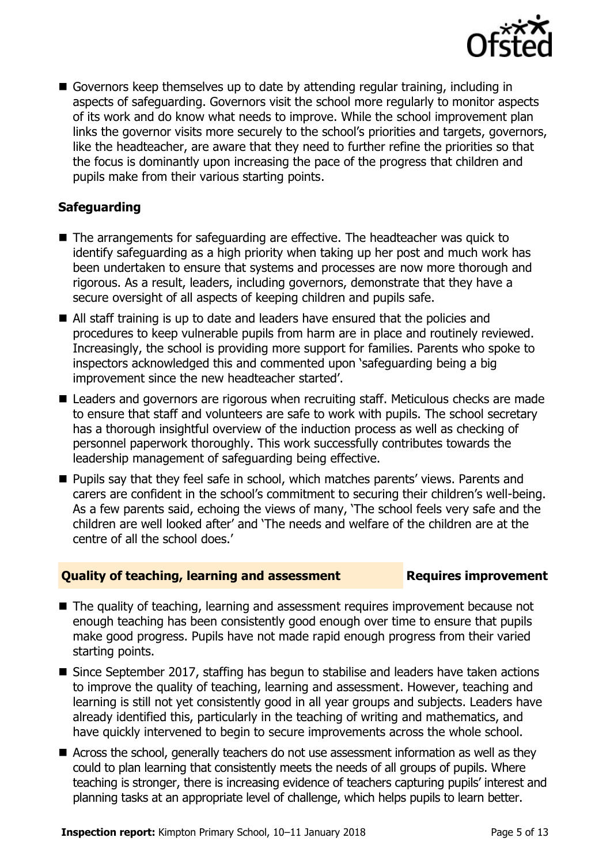

 Governors keep themselves up to date by attending regular training, including in aspects of safeguarding. Governors visit the school more regularly to monitor aspects of its work and do know what needs to improve. While the school improvement plan links the governor visits more securely to the school's priorities and targets, governors, like the headteacher, are aware that they need to further refine the priorities so that the focus is dominantly upon increasing the pace of the progress that children and pupils make from their various starting points.

### **Safeguarding**

- The arrangements for safeguarding are effective. The headteacher was quick to identify safeguarding as a high priority when taking up her post and much work has been undertaken to ensure that systems and processes are now more thorough and rigorous. As a result, leaders, including governors, demonstrate that they have a secure oversight of all aspects of keeping children and pupils safe.
- All staff training is up to date and leaders have ensured that the policies and procedures to keep vulnerable pupils from harm are in place and routinely reviewed. Increasingly, the school is providing more support for families. Parents who spoke to inspectors acknowledged this and commented upon 'safeguarding being a big improvement since the new headteacher started'.
- Leaders and governors are rigorous when recruiting staff. Meticulous checks are made to ensure that staff and volunteers are safe to work with pupils. The school secretary has a thorough insightful overview of the induction process as well as checking of personnel paperwork thoroughly. This work successfully contributes towards the leadership management of safeguarding being effective.
- **Pupils say that they feel safe in school, which matches parents' views. Parents and** carers are confident in the school's commitment to securing their children's well-being. As a few parents said, echoing the views of many, 'The school feels very safe and the children are well looked after' and 'The needs and welfare of the children are at the centre of all the school does.'

### **Quality of teaching, learning and assessment France Requires improvement**

- The quality of teaching, learning and assessment requires improvement because not enough teaching has been consistently good enough over time to ensure that pupils make good progress. Pupils have not made rapid enough progress from their varied starting points.
- Since September 2017, staffing has begun to stabilise and leaders have taken actions to improve the quality of teaching, learning and assessment. However, teaching and learning is still not yet consistently good in all year groups and subjects. Leaders have already identified this, particularly in the teaching of writing and mathematics, and have quickly intervened to begin to secure improvements across the whole school.
- Across the school, generally teachers do not use assessment information as well as they could to plan learning that consistently meets the needs of all groups of pupils. Where teaching is stronger, there is increasing evidence of teachers capturing pupils' interest and planning tasks at an appropriate level of challenge, which helps pupils to learn better.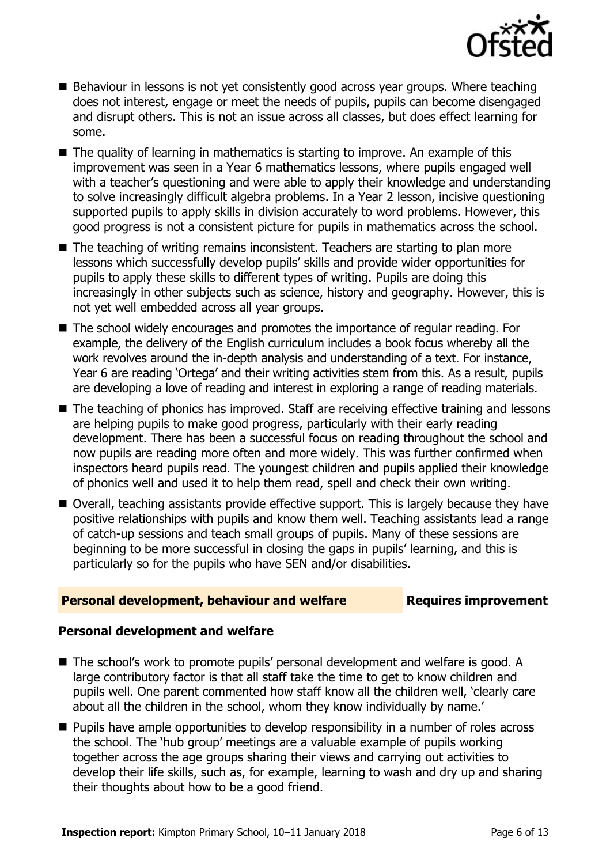

- Behaviour in lessons is not yet consistently good across year groups. Where teaching does not interest, engage or meet the needs of pupils, pupils can become disengaged and disrupt others. This is not an issue across all classes, but does effect learning for some.
- $\blacksquare$  The quality of learning in mathematics is starting to improve. An example of this improvement was seen in a Year 6 mathematics lessons, where pupils engaged well with a teacher's questioning and were able to apply their knowledge and understanding to solve increasingly difficult algebra problems. In a Year 2 lesson, incisive questioning supported pupils to apply skills in division accurately to word problems. However, this good progress is not a consistent picture for pupils in mathematics across the school.
- The teaching of writing remains inconsistent. Teachers are starting to plan more lessons which successfully develop pupils' skills and provide wider opportunities for pupils to apply these skills to different types of writing. Pupils are doing this increasingly in other subjects such as science, history and geography. However, this is not yet well embedded across all year groups.
- The school widely encourages and promotes the importance of regular reading. For example, the delivery of the English curriculum includes a book focus whereby all the work revolves around the in-depth analysis and understanding of a text. For instance, Year 6 are reading 'Ortega' and their writing activities stem from this. As a result, pupils are developing a love of reading and interest in exploring a range of reading materials.
- The teaching of phonics has improved. Staff are receiving effective training and lessons are helping pupils to make good progress, particularly with their early reading development. There has been a successful focus on reading throughout the school and now pupils are reading more often and more widely. This was further confirmed when inspectors heard pupils read. The youngest children and pupils applied their knowledge of phonics well and used it to help them read, spell and check their own writing.
- Overall, teaching assistants provide effective support. This is largely because they have positive relationships with pupils and know them well. Teaching assistants lead a range of catch-up sessions and teach small groups of pupils. Many of these sessions are beginning to be more successful in closing the gaps in pupils' learning, and this is particularly so for the pupils who have SEN and/or disabilities.

### **Personal development, behaviour and welfare Fig. 2.1 Requires improvement**

#### **Personal development and welfare**

- The school's work to promote pupils' personal development and welfare is good. A large contributory factor is that all staff take the time to get to know children and pupils well. One parent commented how staff know all the children well, 'clearly care about all the children in the school, whom they know individually by name.'
- **Pupils have ample opportunities to develop responsibility in a number of roles across** the school. The 'hub group' meetings are a valuable example of pupils working together across the age groups sharing their views and carrying out activities to develop their life skills, such as, for example, learning to wash and dry up and sharing their thoughts about how to be a good friend.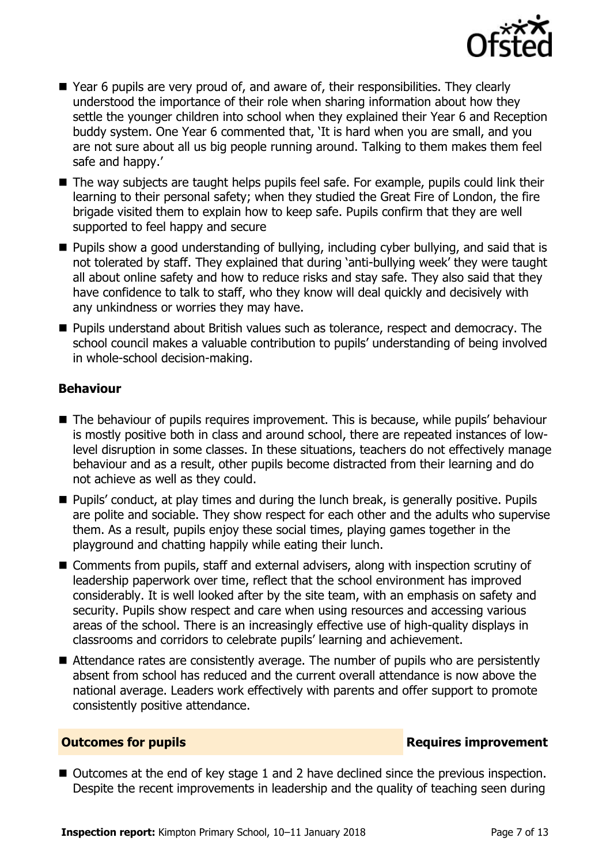

- Year 6 pupils are very proud of, and aware of, their responsibilities. They clearly understood the importance of their role when sharing information about how they settle the younger children into school when they explained their Year 6 and Reception buddy system. One Year 6 commented that, 'It is hard when you are small, and you are not sure about all us big people running around. Talking to them makes them feel safe and happy.'
- The way subjects are taught helps pupils feel safe. For example, pupils could link their learning to their personal safety; when they studied the Great Fire of London, the fire brigade visited them to explain how to keep safe. Pupils confirm that they are well supported to feel happy and secure
- Pupils show a good understanding of bullying, including cyber bullying, and said that is not tolerated by staff. They explained that during 'anti-bullying week' they were taught all about online safety and how to reduce risks and stay safe. They also said that they have confidence to talk to staff, who they know will deal quickly and decisively with any unkindness or worries they may have.
- **Pupils understand about British values such as tolerance, respect and democracy. The** school council makes a valuable contribution to pupils' understanding of being involved in whole-school decision-making.

#### **Behaviour**

- The behaviour of pupils requires improvement. This is because, while pupils' behaviour is mostly positive both in class and around school, there are repeated instances of lowlevel disruption in some classes. In these situations, teachers do not effectively manage behaviour and as a result, other pupils become distracted from their learning and do not achieve as well as they could.
- Pupils' conduct, at play times and during the lunch break, is generally positive. Pupils are polite and sociable. They show respect for each other and the adults who supervise them. As a result, pupils enjoy these social times, playing games together in the playground and chatting happily while eating their lunch.
- Comments from pupils, staff and external advisers, along with inspection scrutiny of leadership paperwork over time, reflect that the school environment has improved considerably. It is well looked after by the site team, with an emphasis on safety and security. Pupils show respect and care when using resources and accessing various areas of the school. There is an increasingly effective use of high-quality displays in classrooms and corridors to celebrate pupils' learning and achievement.
- Attendance rates are consistently average. The number of pupils who are persistently absent from school has reduced and the current overall attendance is now above the national average. Leaders work effectively with parents and offer support to promote consistently positive attendance.

### **Outcomes for pupils Requires improvement**

■ Outcomes at the end of key stage 1 and 2 have declined since the previous inspection. Despite the recent improvements in leadership and the quality of teaching seen during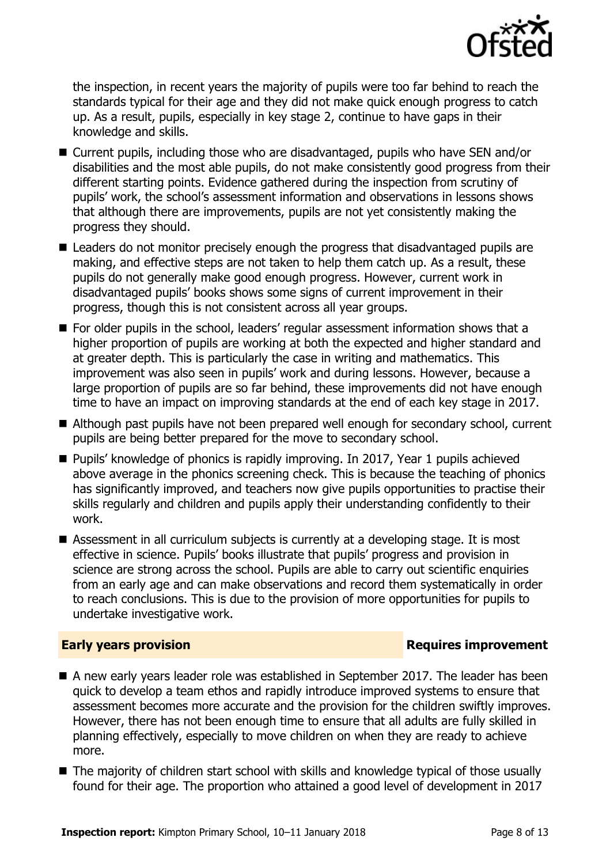

the inspection, in recent years the majority of pupils were too far behind to reach the standards typical for their age and they did not make quick enough progress to catch up. As a result, pupils, especially in key stage 2, continue to have gaps in their knowledge and skills.

- Current pupils, including those who are disadvantaged, pupils who have SEN and/or disabilities and the most able pupils, do not make consistently good progress from their different starting points. Evidence gathered during the inspection from scrutiny of pupils' work, the school's assessment information and observations in lessons shows that although there are improvements, pupils are not yet consistently making the progress they should.
- Leaders do not monitor precisely enough the progress that disadvantaged pupils are making, and effective steps are not taken to help them catch up. As a result, these pupils do not generally make good enough progress. However, current work in disadvantaged pupils' books shows some signs of current improvement in their progress, though this is not consistent across all year groups.
- For older pupils in the school, leaders' regular assessment information shows that a higher proportion of pupils are working at both the expected and higher standard and at greater depth. This is particularly the case in writing and mathematics. This improvement was also seen in pupils' work and during lessons. However, because a large proportion of pupils are so far behind, these improvements did not have enough time to have an impact on improving standards at the end of each key stage in 2017.
- Although past pupils have not been prepared well enough for secondary school, current pupils are being better prepared for the move to secondary school.
- Pupils' knowledge of phonics is rapidly improving. In 2017, Year 1 pupils achieved above average in the phonics screening check. This is because the teaching of phonics has significantly improved, and teachers now give pupils opportunities to practise their skills regularly and children and pupils apply their understanding confidently to their work.
- Assessment in all curriculum subjects is currently at a developing stage. It is most effective in science. Pupils' books illustrate that pupils' progress and provision in science are strong across the school. Pupils are able to carry out scientific enquiries from an early age and can make observations and record them systematically in order to reach conclusions. This is due to the provision of more opportunities for pupils to undertake investigative work.

#### **Early years provision**

- A new early years leader role was established in September 2017. The leader has been quick to develop a team ethos and rapidly introduce improved systems to ensure that assessment becomes more accurate and the provision for the children swiftly improves. However, there has not been enough time to ensure that all adults are fully skilled in planning effectively, especially to move children on when they are ready to achieve more.
- The majority of children start school with skills and knowledge typical of those usually found for their age. The proportion who attained a good level of development in 2017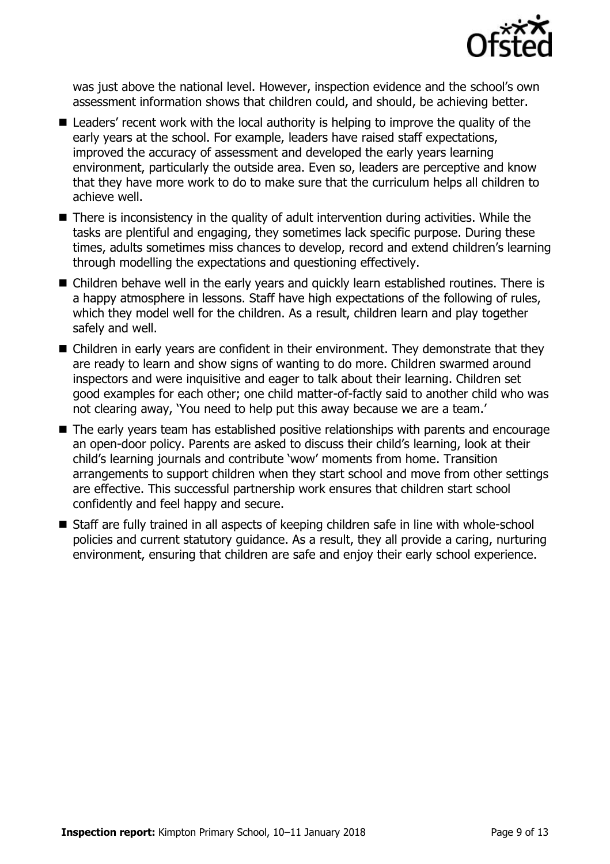

was just above the national level. However, inspection evidence and the school's own assessment information shows that children could, and should, be achieving better.

- Leaders' recent work with the local authority is helping to improve the quality of the early years at the school. For example, leaders have raised staff expectations, improved the accuracy of assessment and developed the early years learning environment, particularly the outside area. Even so, leaders are perceptive and know that they have more work to do to make sure that the curriculum helps all children to achieve well.
- There is inconsistency in the quality of adult intervention during activities. While the tasks are plentiful and engaging, they sometimes lack specific purpose. During these times, adults sometimes miss chances to develop, record and extend children's learning through modelling the expectations and questioning effectively.
- Children behave well in the early years and quickly learn established routines. There is a happy atmosphere in lessons. Staff have high expectations of the following of rules, which they model well for the children. As a result, children learn and play together safely and well.
- Children in early years are confident in their environment. They demonstrate that they are ready to learn and show signs of wanting to do more. Children swarmed around inspectors and were inquisitive and eager to talk about their learning. Children set good examples for each other; one child matter-of-factly said to another child who was not clearing away, 'You need to help put this away because we are a team.'
- The early years team has established positive relationships with parents and encourage an open-door policy. Parents are asked to discuss their child's learning, look at their child's learning journals and contribute 'wow' moments from home. Transition arrangements to support children when they start school and move from other settings are effective. This successful partnership work ensures that children start school confidently and feel happy and secure.
- Staff are fully trained in all aspects of keeping children safe in line with whole-school policies and current statutory guidance. As a result, they all provide a caring, nurturing environment, ensuring that children are safe and enjoy their early school experience.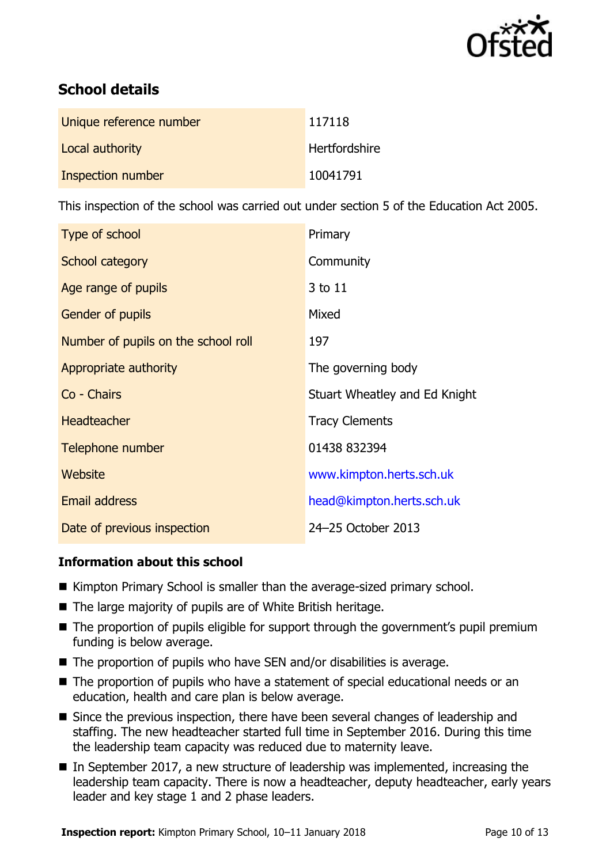

# **School details**

| Unique reference number | 117118               |
|-------------------------|----------------------|
| Local authority         | <b>Hertfordshire</b> |
| Inspection number       | 10041791             |

This inspection of the school was carried out under section 5 of the Education Act 2005.

| Type of school                      | Primary                       |
|-------------------------------------|-------------------------------|
| School category                     | Community                     |
| Age range of pupils                 | 3 to 11                       |
| <b>Gender of pupils</b>             | Mixed                         |
| Number of pupils on the school roll | 197                           |
| Appropriate authority               | The governing body            |
| Co - Chairs                         | Stuart Wheatley and Ed Knight |
| <b>Headteacher</b>                  | <b>Tracy Clements</b>         |
| Telephone number                    | 01438 832394                  |
| Website                             | www.kimpton.herts.sch.uk      |
| <b>Email address</b>                | head@kimpton.herts.sch.uk     |
| Date of previous inspection         | 24-25 October 2013            |

### **Information about this school**

- Kimpton Primary School is smaller than the average-sized primary school.
- The large majority of pupils are of White British heritage.
- The proportion of pupils eligible for support through the government's pupil premium funding is below average.
- The proportion of pupils who have SEN and/or disabilities is average.
- The proportion of pupils who have a statement of special educational needs or an education, health and care plan is below average.
- Since the previous inspection, there have been several changes of leadership and staffing. The new headteacher started full time in September 2016. During this time the leadership team capacity was reduced due to maternity leave.
- In September 2017, a new structure of leadership was implemented, increasing the leadership team capacity. There is now a headteacher, deputy headteacher, early years leader and key stage 1 and 2 phase leaders.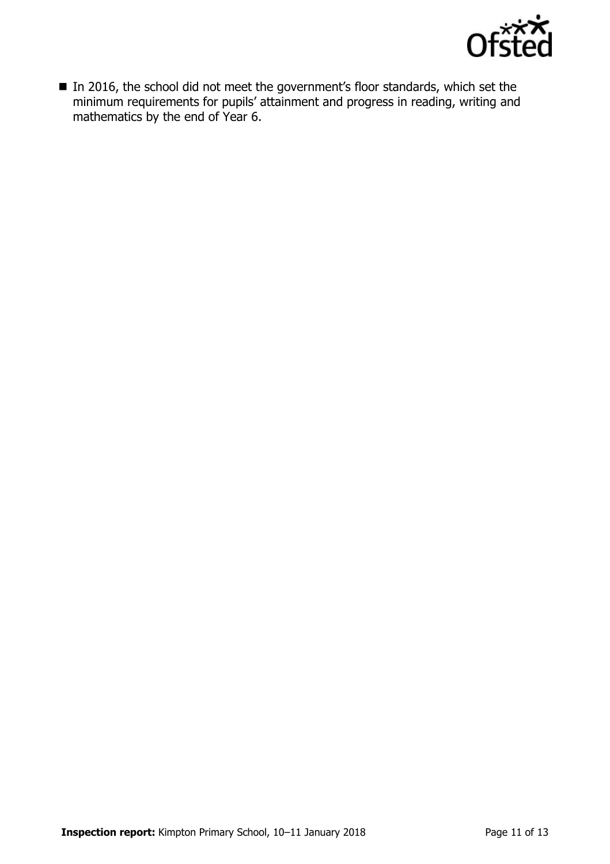

■ In 2016, the school did not meet the government's floor standards, which set the minimum requirements for pupils' attainment and progress in reading, writing and mathematics by the end of Year 6.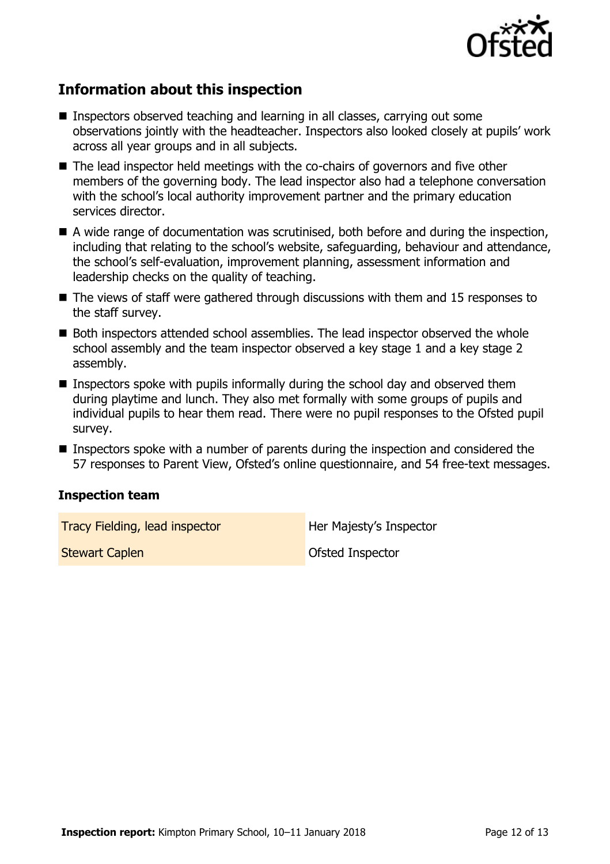

# **Information about this inspection**

- Inspectors observed teaching and learning in all classes, carrying out some observations jointly with the headteacher. Inspectors also looked closely at pupils' work across all year groups and in all subjects.
- The lead inspector held meetings with the co-chairs of governors and five other members of the governing body. The lead inspector also had a telephone conversation with the school's local authority improvement partner and the primary education services director.
- A wide range of documentation was scrutinised, both before and during the inspection, including that relating to the school's website, safeguarding, behaviour and attendance, the school's self-evaluation, improvement planning, assessment information and leadership checks on the quality of teaching.
- $\blacksquare$  The views of staff were gathered through discussions with them and 15 responses to the staff survey.
- Both inspectors attended school assemblies. The lead inspector observed the whole school assembly and the team inspector observed a key stage 1 and a key stage 2 assembly.
- **Inspectors spoke with pupils informally during the school day and observed them** during playtime and lunch. They also met formally with some groups of pupils and individual pupils to hear them read. There were no pupil responses to the Ofsted pupil survey.
- **Inspectors spoke with a number of parents during the inspection and considered the** 57 responses to Parent View, Ofsted's online questionnaire, and 54 free-text messages.

#### **Inspection team**

**Tracy Fielding, lead inspector** Her Majesty's Inspector

**Stewart Caplen Capture Capture Capture Capture Capture Capture Capture Capture Capture Capture Capture Capture**